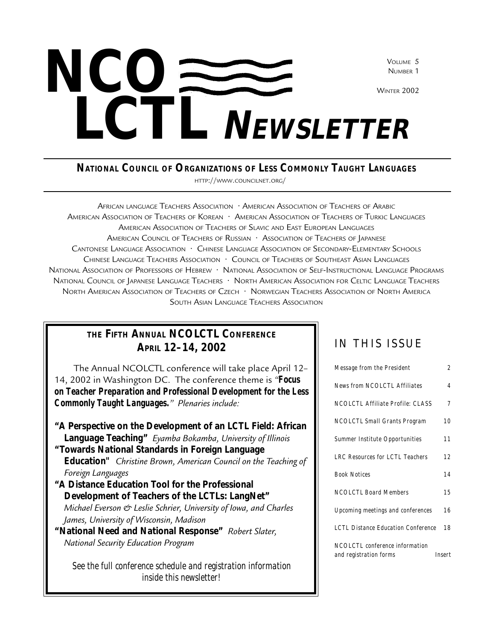# **NCO LCTL <sup>N</sup>EWSLETTER** VOLUME 5 NUMBER 1 WINTER 2002

**NATIONAL COUNCIL OF ORGANIZATIONS OF LESS COMMONLY TAUGHT LANGUAGES** HTTP://WWW.COUNCILNET.ORG/

AFRICAN LANGUAGE TEACHERS ASSOCIATION • AMERICAN ASSOCIATION OF TEACHERS OF ARABIC AMERICAN ASSOCIATION OF TEACHERS OF KOREAN • AMERICAN ASSOCIATION OF TEACHERS OF TURKIC LANGUAGES AMERICAN ASSOCIATION OF TEACHERS OF SLAVIC AND EAST EUROPEAN LANGUAGES AMERICAN COUNCIL OF TEACHERS OF RUSSIAN • ASSOCIATION OF TEACHERS OF JAPANESE CANTONESE LANGUAGE ASSOCIATION • CHINESE LANGUAGE ASSOCIATION OF SECONDARY-ELEMENTARY SCHOOLS CHINESE LANGUAGE TEACHERS ASSOCIATION • COUNCIL OF TEACHERS OF SOUTHEAST ASIAN LANGUAGES NATIONAL ASSOCIATION OF PROFESSORS OF HEBREW • NATIONAL ASSOCIATION OF SELF-INSTRUCTIONAL LANGUAGE PROGRAMS NATIONAL COUNCIL OF JAPANESE LANGUAGE TEACHERS • NORTH AMERICAN ASSOCIATION FOR CELTIC LANGUAGE TEACHERS NORTH AMERICAN ASSOCIATION OF TEACHERS OF CZECH • NORWEGIAN TEACHERS ASSOCIATION OF NORTH AMERICA SOUTH ASIAN LANGUAGE TEACHERS ASSOCIATION

# **THE FIFTH ANNUAL NCOLCTL CONFERENCE APRIL 12–14, 2002**

The Annual NCOLCTL conference will take place April 12– 14, 2002 in Washington DC. The conference theme is *"Focus on Teacher Preparation and Professional Development for the Less Commonly Taught Languages." Plenaries include:*

**"A Perspective on the Development of an LCTL Field: African Language Teaching"** *Eyamba Bokamba, University of Illinois*

**"Towards National Standards in Foreign Language Education"** *Christine Brown, American Council on the Teaching of Foreign Languages*

- **"A Distance Education Tool for the Professional Development of Teachers of the LCTLs: LangNet"** *Michael Everson & Leslie Schrier, University of Iowa, and Charles James, University of Wisconsin, Madison*
- **"National Need and National Response"** *Robert Slater, National Security Education Program*

*See the full conference schedule and registration information inside this newsletter!*

# IN THIS ISSUE

| Message from the President                               | 2      |
|----------------------------------------------------------|--------|
| <b>News from NCOLCTL Affiliates</b>                      | 4      |
| NCOLCTL Affiliate Profile: CLASS                         | 7      |
| <b>NCOLCTL Small Grants Program</b>                      | 10     |
| Summer Institute Opportunities                           | 11     |
| <b>LRC Resources for LCTL Teachers</b>                   | 12     |
| Book Notices                                             | 14     |
| NCOLCTL Board Members                                    | 15     |
| Upcoming meetings and conferences                        | 16     |
| <b>LCTL Distance Education Conference</b>                | 18     |
| NCOLCTL conference information<br>and registration forms | Insert |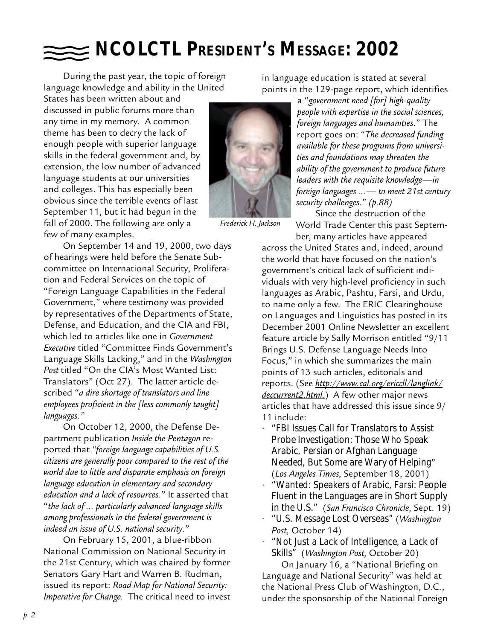# **NCOLCTL PRESIDENT'S MESSAGE: 2002**

During the past year, the topic of foreign language knowledge and ability in the United

States has been written about and discussed in public forums more than any time in my memory. A common theme has been to decry the lack of enough people with superior language skills in the federal government and, by extension, the low number of advanced language students at our universities and colleges. This has especially been obvious since the terrible events of last September 11, but it had begun in the fall of 2000. The following are only a few of many examples.

On September 14 and 19, 2000, two days of hearings were held before the Senate Subcommittee on International Security, Proliferation and Federal Services on the topic of "Foreign Language Capabilities in the Federal Government," where testimony was provided by representatives of the Departments of State, Defense, and Education, and the CIA and FBI, which led to articles like one in *Government Executive* titled "Committee Finds Government's Language Skills Lacking," and in the *Washington Post* titled "On the CIA's Most Wanted List: Translators" (Oct 27). The latter article described "*a dire shortage of translators and line employees proficient in the [less commonly taught] languages."*

On October 12, 2000, the Defense Department publication *Inside the Pentagon* reported that *"foreign language capabilities of U.S. citizens are generally poor compared to the rest of the world due to little and disparate emphasis on foreign language education in elementary and secondary education and a lack of resources*." It asserted that "*the lack of … particularly advanced language skills among professionals in the federal government is indeed an issue of U.S. national security*."

On February 15, 2001, a blue-ribbon National Commission on National Security in the 21st Century, which was chaired by former Senators Gary Hart and Warren B. Rudman, issued its report: *Road Map for National Security: Imperative for Change.* The critical need to invest



a "*government need [for] high-quality people with expertise in the social sciences, foreign languages and humanities*." The report goes on: "*The decreased funding available for these programs from universities and foundations may threaten the ability of the government to produce future leaders with the requisite knowledge—in foreign languages …— to meet 21st century security challenges.*" *(p.88)*

Since the destruction of the World Trade Center this past September, many articles have appeared

across the United States and, indeed, around the world that have focused on the nation's government's critical lack of sufficient individuals with very high-level proficiency in such languages as Arabic, Pashtu, Farsi, and Urdu, to name only a few. The ERIC Clearinghouse on Languages and Linguistics has posted in its December 2001 Online Newsletter an excellent feature article by Sally Morrison entitled "9/11 Brings U.S. Defense Language Needs Into Focus," in which she summarizes the main points of 13 such articles, editorials and reports. (See *http://www.cal.org/ericcll/langlink/ deccurrent2.html.*) A few other major news articles that have addressed this issue since 9/ 11 include:

- "FBI Issues Call for Translators to Assist Probe Investigation: Those Who Speak Arabic, Persian or Afghan Language Needed, But Some are Wary of Helping" (*Los Angeles Times,* September 18, 2001)
- "Wanted: Speakers of Arabic, Farsi: People Fluent in the Languages are in Short Supply in the U.S." (*San Francisco Chronicle,* Sept. 19)
- "U.S. Message Lost Overseas" (*Washington Post,* October 14)
- "Not Just a Lack of Intelligence, a Lack of Skills" (*Washington Post,* October 20)

On January 16, a "National Briefing on Language and National Security" was held at the National Press Club of Washington, D.C., under the sponsorship of the National Foreign



*Frederick H. Jackson*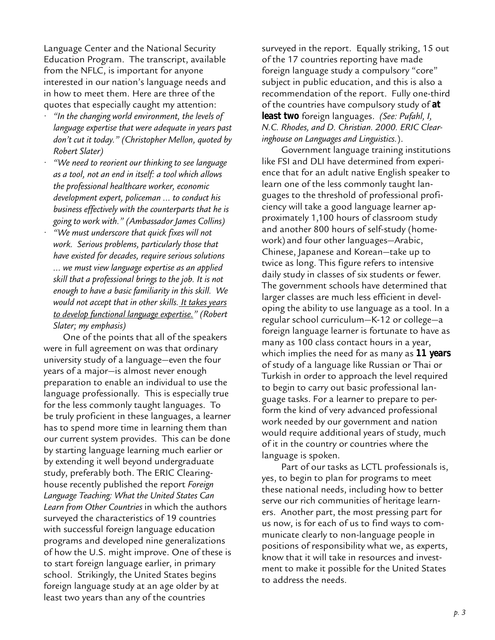Language Center and the National Security Education Program. The transcript, available from the NFLC, is important for anyone interested in our nation's language needs and in how to meet them. Here are three of the quotes that especially caught my attention:

- *"In the changing world environment, the levels of language expertise that were adequate in years past don't cut it today." (Christopher Mellon, quoted by Robert Slater)*
- *"We need to reorient our thinking to see language as a tool, not an end in itself: a tool which allows the professional healthcare worker, economic development expert, policeman … to conduct his business effectively with the counterparts that he is going to work with." (Ambassador James Collins)*
- *"We must underscore that quick fixes will not work. Serious problems, particularly those that have existed for decades, require serious solutions … we must view language expertise as an applied skill that a professional brings to the job. It is not enough to have a basic familiarity in this skill. We would not accept that in other skills. It takes years to develop functional language expertise." (Robert Slater; my emphasis)*

One of the points that all of the speakers were in full agreement on was that ordinary university study of a language—even the four years of a major—is almost never enough preparation to enable an individual to use the language professionally. This is especially true for the less commonly taught languages. To be truly proficient in these languages, a learner has to spend more time in learning them than our current system provides. This can be done by starting language learning much earlier or by extending it well beyond undergraduate study, preferably both. The ERIC Clearinghouse recently published the report *Foreign Language Teaching: What the United States Can Learn from Other Countries* in which the authors surveyed the characteristics of 19 countries with successful foreign language education programs and developed nine generalizations of how the U.S. might improve. One of these is to start foreign language earlier, in primary school. Strikingly, the United States begins foreign language study at an age older by at least two years than any of the countries

surveyed in the report. Equally striking, 15 out of the 17 countries reporting have made foreign language study a compulsory "core" subject in public education, and this is also a recommendation of the report. Fully one-third of the countries have compulsory study of **at least two** foreign languages. *(See: Pufahl, I, N.C. Rhodes, and D. Christian. 2000. ERIC Clearinghouse on Languages and Linguistics.*).

Government language training institutions like FSI and DLI have determined from experience that for an adult native English speaker to learn one of the less commonly taught languages to the threshold of professional proficiency will take a good language learner approximately 1,100 hours of classroom study and another 800 hours of self-study (homework) and four other languages—Arabic, Chinese, Japanese and Korean—take up to twice as long. This figure refers to intensive daily study in classes of six students or fewer. The government schools have determined that larger classes are much less efficient in developing the ability to use language as a tool. In a regular school curriculum—K-12 or college—a foreign language learner is fortunate to have as many as 100 class contact hours in a year, which implies the need for as many as **11 years** of study of a language like Russian or Thai or Turkish in order to approach the level required to begin to carry out basic professional language tasks. For a learner to prepare to perform the kind of very advanced professional work needed by our government and nation would require additional years of study, much of it in the country or countries where the language is spoken.

Part of our tasks as LCTL professionals is, yes, to begin to plan for programs to meet these national needs, including how to better serve our rich communities of heritage learners. Another part, the most pressing part for us now, is for each of us to find ways to communicate clearly to non-language people in positions of responsibility what we, as experts, know that it will take in resources and investment to make it possible for the United States to address the needs.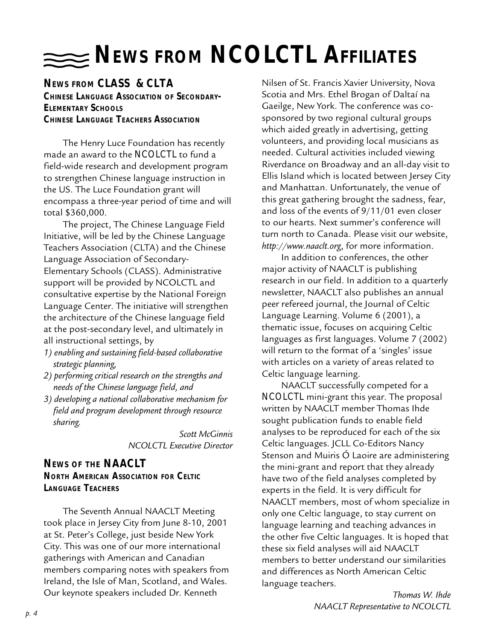# **NEWS FROM NCOLCTL AFFILIATES**

# **NEWS FROM CLASS & CLTA**

**CHINESE LANGUAGE ASSOCIATION OF SECONDARY-ELEMENTARY SCHOOLS CHINESE LANGUAGE TEACHERS ASSOCIATION**

The Henry Luce Foundation has recently made an award to the NCOLCTL to fund a field-wide research and development program to strengthen Chinese language instruction in the US. The Luce Foundation grant will encompass a three-year period of time and will total \$360,000.

The project, The Chinese Language Field Initiative, will be led by the Chinese Language Teachers Association (CLTA) and the Chinese Language Association of Secondary-Elementary Schools (CLASS). Administrative support will be provided by NCOLCTL and consultative expertise by the National Foreign Language Center. The initiative will strengthen the architecture of the Chinese language field at the post-secondary level, and ultimately in all instructional settings, by

- *1) enabling and sustaining field-based collaborative strategic planning,*
- *2) performing critical research on the strengths and needs of the Chinese language field, and*
- *3) developing a national collaborative mechanism for field and program development through resource sharing.*

*Scott McGinnis NCOLCTL Executive Director*

# **NEWS OF THE NAACLT**

**NORTH AMERICAN ASSOCIATION FOR CELTIC LANGUAGE TEACHERS**

The Seventh Annual NAACLT Meeting took place in Jersey City from June 8-10, 2001 at St. Peter's College, just beside New York City. This was one of our more international gatherings with American and Canadian members comparing notes with speakers from Ireland, the Isle of Man, Scotland, and Wales. Our keynote speakers included Dr. Kenneth

Nilsen of St. Francis Xavier University, Nova Scotia and Mrs. Ethel Brogan of Daltaí na Gaeilge, New York. The conference was cosponsored by two regional cultural groups which aided greatly in advertising, getting volunteers, and providing local musicians as needed. Cultural activities included viewing Riverdance on Broadway and an all-day visit to Ellis Island which is located between Jersey City and Manhattan. Unfortunately, the venue of this great gathering brought the sadness, fear, and loss of the events of 9/11/01 even closer to our hearts. Next summer's conference will turn north to Canada. Please visit our website, *http://www.naaclt.org*, for more information.

In addition to conferences, the other major activity of NAACLT is publishing research in our field. In addition to a quarterly newsletter, NAACLT also publishes an annual peer refereed journal, the Journal of Celtic Language Learning. Volume 6 (2001), a thematic issue, focuses on acquiring Celtic languages as first languages. Volume 7 (2002) will return to the format of a 'singles' issue with articles on a variety of areas related to Celtic language learning.

NAACLT successfully competed for a NCOLCTL mini-grant this year. The proposal written by NAACLT member Thomas Ihde sought publication funds to enable field analyses to be reproduced for each of the six Celtic languages. JCLL Co-Editors Nancy Stenson and Muiris Ó Laoire are administering the mini-grant and report that they already have two of the field analyses completed by experts in the field. It is very difficult for NAACLT members, most of whom specialize in only one Celtic language, to stay current on language learning and teaching advances in the other five Celtic languages. It is hoped that these six field analyses will aid NAACLT members to better understand our similarities and differences as North American Celtic language teachers.

*Thomas W. Ihde NAACLT Representative to NCOLCTL p. 4*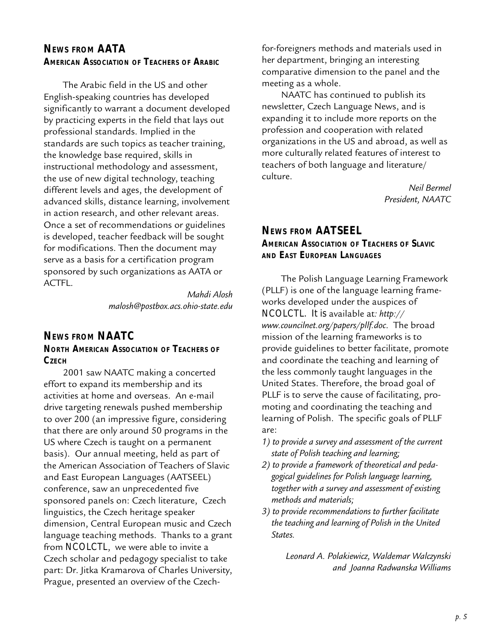# **NEWS FROM AATA AMERICAN ASSOCIATION OF TEACHERS OF ARABIC**

The Arabic field in the US and other English-speaking countries has developed significantly to warrant a document developed by practicing experts in the field that lays out professional standards. Implied in the standards are such topics as teacher training, the knowledge base required, skills in instructional methodology and assessment, the use of new digital technology, teaching different levels and ages, the development of advanced skills, distance learning, involvement in action research, and other relevant areas. Once a set of recommendations or guidelines is developed, teacher feedback will be sought for modifications. Then the document may serve as a basis for a certification program sponsored by such organizations as AATA or ACTFL.

> *Mahdi Alosh malosh@postbox.acs.ohio-state.edu*

# **NEWS FROM NAATC**

**NORTH AMERICAN ASSOCIATION OF TEACHERS OF CZECH**

2001 saw NAATC making a concerted effort to expand its membership and its activities at home and overseas. An e-mail drive targeting renewals pushed membership to over 200 (an impressive figure, considering that there are only around 50 programs in the US where Czech is taught on a permanent basis). Our annual meeting, held as part of the American Association of Teachers of Slavic and East European Languages (AATSEEL) conference, saw an unprecedented five sponsored panels on: Czech literature, Czech linguistics, the Czech heritage speaker dimension, Central European music and Czech language teaching methods. Thanks to a grant from NCOLCTL, we were able to invite a Czech scholar and pedagogy specialist to take part: Dr. Jitka Kramarova of Charles University, Prague, presented an overview of the Czechfor-foreigners methods and materials used in her department, bringing an interesting comparative dimension to the panel and the meeting as a whole.

NAATC has continued to publish its newsletter, Czech Language News, and is expanding it to include more reports on the profession and cooperation with related organizations in the US and abroad, as well as more culturally related features of interest to teachers of both language and literature/ culture.

*Neil Bermel President, NAATC*

# **NEWS FROM AATSEEL AMERICAN ASSOCIATION OF TEACHERS OF SLAVIC AND EAST EUROPEAN LANGUAGES**

The Polish Language Learning Framework (PLLF) is one of the language learning frameworks developed under the auspices of NCOLCTL. It is available at*: http:// www.councilnet.org/papers/pllf.doc*. The broad mission of the learning frameworks is to provide guidelines to better facilitate, promote and coordinate the teaching and learning of the less commonly taught languages in the United States. Therefore, the broad goal of PLLF is to serve the cause of facilitating, promoting and coordinating the teaching and learning of Polish. The specific goals of PLLF are:

- *1) to provide a survey and assessment of the current state of Polish teaching and learning;*
- *2) to provide a framework of theoretical and pedagogical guidelines for Polish language learning, together with a survey and assessment of existing methods and materials;*
- *3) to provide recommendations to further facilitate the teaching and learning of Polish in the United States.*

*Leonard A. Polakiewicz, Waldemar Walczynski and Joanna Radwanska Williams*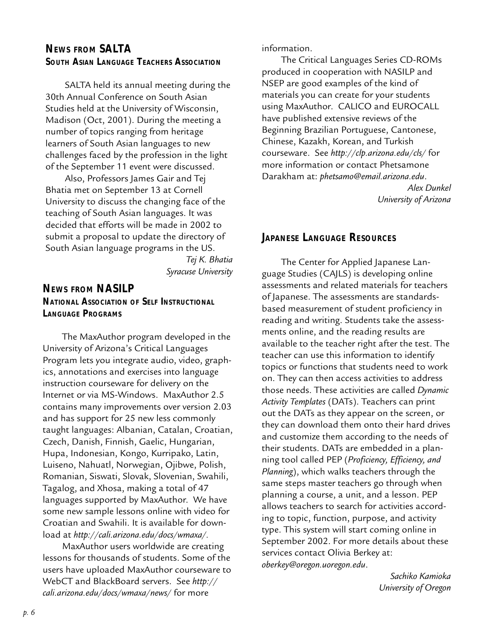# **NEWS FROM SALTA SOUTH ASIAN LANGUAGE TEACHERS ASSOCIATION**

SALTA held its annual meeting during the 30th Annual Conference on South Asian Studies held at the University of Wisconsin, Madison (Oct, 2001). During the meeting a number of topics ranging from heritage learners of South Asian languages to new challenges faced by the profession in the light of the September 11 event were discussed.

Also, Professors James Gair and Tej Bhatia met on September 13 at Cornell University to discuss the changing face of the teaching of South Asian languages. It was decided that efforts will be made in 2002 to submit a proposal to update the directory of South Asian language programs in the US.

> *Tej K. Bhatia Syracuse University*

# **NEWS FROM NASILP**

**NATIONAL ASSOCIATION OF SELF INSTRUCTIONAL LANGUAGE PROGRAMS**

The MaxAuthor program developed in the University of Arizona's Critical Languages Program lets you integrate audio, video, graphics, annotations and exercises into language instruction courseware for delivery on the Internet or via MS-Windows. MaxAuthor 2.5 contains many improvements over version 2.03 and has support for 25 new less commonly taught languages: Albanian, Catalan, Croatian, Czech, Danish, Finnish, Gaelic, Hungarian, Hupa, Indonesian, Kongo, Kurripako, Latin, Luiseno, Nahuatl, Norwegian, Ojibwe, Polish, Romanian, Siswati, Slovak, Slovenian, Swahili, Tagalog, and Xhosa, making a total of 47 languages supported by MaxAuthor. We have some new sample lessons online with video for Croatian and Swahili. It is available for download at *http://cali.arizona.edu/docs/wmaxa/.*

MaxAuthor users worldwide are creating lessons for thousands of students. Some of the users have uploaded MaxAuthor courseware to WebCT and BlackBoard servers. See *http:// cali.arizona.edu/docs/wmaxa/news/* for more

information.

The Critical Languages Series CD-ROMs produced in cooperation with NASILP and NSEP are good examples of the kind of materials you can create for your students using MaxAuthor. CALICO and EUROCALL have published extensive reviews of the Beginning Brazilian Portuguese, Cantonese, Chinese, Kazakh, Korean, and Turkish courseware. See *http://clp.arizona.edu/cls/* for more information or contact Phetsamone Darakham at: *phetsamo@email.arizona.edu*.

*Alex Dunkel University of Arizona*

# **JAPANESE LANGUAGE RESOURCES**

The Center for Applied Japanese Language Studies (CAJLS) is developing online assessments and related materials for teachers of Japanese. The assessments are standardsbased measurement of student proficiency in reading and writing. Students take the assessments online, and the reading results are available to the teacher right after the test. The teacher can use this information to identify topics or functions that students need to work on. They can then access activities to address those needs. These activities are called *Dynamic Activity Templates* (DATs). Teachers can print out the DATs as they appear on the screen, or they can download them onto their hard drives and customize them according to the needs of their students. DATs are embedded in a planning tool called PEP (*Proficiency, Efficiency, and Planning*), which walks teachers through the same steps master teachers go through when planning a course, a unit, and a lesson. PEP allows teachers to search for activities according to topic, function, purpose, and activity type. This system will start coming online in September 2002. For more details about these services contact Olivia Berkey at: *oberkey@oregon.uoregon.edu*.

> *Sachiko Kamioka University of Oregon*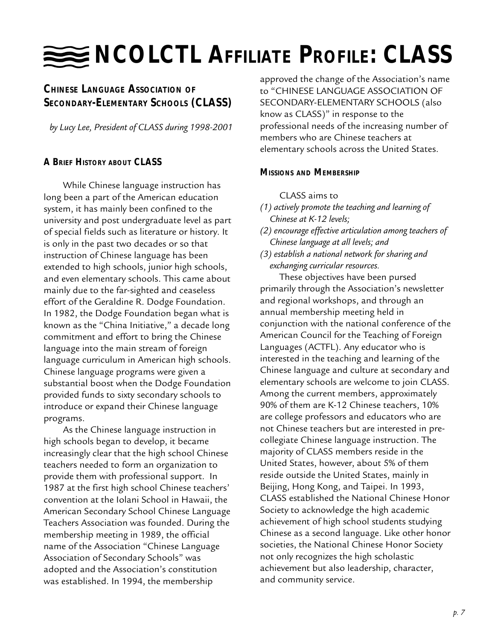# NCOLCTL AFFILIATE PROFILE: CLASS

# **CHINESE LANGUAGE ASSOCIATION OF SECONDARY-ELEMENTARY SCHOOLS (CLASS)**

*by Lucy Lee, President of CLASS during 1998-2001*

# **A BRIEF HISTORY ABOUT CLASS**

While Chinese language instruction has long been a part of the American education system, it has mainly been confined to the university and post undergraduate level as part of special fields such as literature or history. It is only in the past two decades or so that instruction of Chinese language has been extended to high schools, junior high schools, and even elementary schools. This came about mainly due to the far-sighted and ceaseless effort of the Geraldine R. Dodge Foundation. In 1982, the Dodge Foundation began what is known as the "China Initiative," a decade long commitment and effort to bring the Chinese language into the main stream of foreign language curriculum in American high schools. Chinese language programs were given a substantial boost when the Dodge Foundation provided funds to sixty secondary schools to introduce or expand their Chinese language programs.

As the Chinese language instruction in high schools began to develop, it became increasingly clear that the high school Chinese teachers needed to form an organization to provide them with professional support. In 1987 at the first high school Chinese teachers' convention at the Iolani School in Hawaii, the American Secondary School Chinese Language Teachers Association was founded. During the membership meeting in 1989, the official name of the Association "Chinese Language Association of Secondary Schools" was adopted and the Association's constitution was established. In 1994, the membership

approved the change of the Association's name to "CHINESE LANGUAGE ASSOCIATION OF SECONDARY-ELEMENTARY SCHOOLS (also know as CLASS)" in response to the professional needs of the increasing number of members who are Chinese teachers at elementary schools across the United States.

#### **MISSIONS AND MEMBERSHIP**

#### CLASS aims to

- *(1) actively promote the teaching and learning of Chinese at K-12 levels;*
- *(2) encourage effective articulation among teachers of Chinese language at all levels; and*
- *(3) establish a national network for sharing and exchanging curricular resources.*

These objectives have been pursed primarily through the Association's newsletter and regional workshops, and through an annual membership meeting held in conjunction with the national conference of the American Council for the Teaching of Foreign Languages (ACTFL). Any educator who is interested in the teaching and learning of the Chinese language and culture at secondary and elementary schools are welcome to join CLASS. Among the current members, approximately 90% of them are K-12 Chinese teachers, 10% are college professors and educators who are not Chinese teachers but are interested in precollegiate Chinese language instruction. The majority of CLASS members reside in the United States, however, about 5% of them reside outside the United States, mainly in Beijing, Hong Kong, and Taipei. In 1993, CLASS established the National Chinese Honor Society to acknowledge the high academic achievement of high school students studying Chinese as a second language. Like other honor societies, the National Chinese Honor Society not only recognizes the high scholastic achievement but also leadership, character, and community service.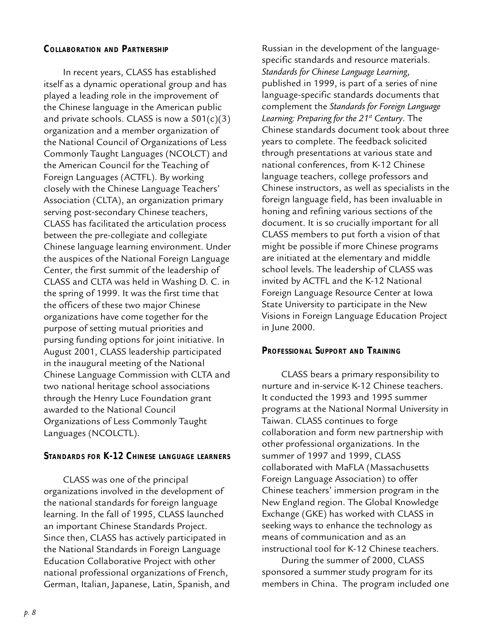### **COLLABORATION AND PARTNERSHIP**

In recent years, CLASS has established itself as a dynamic operational group and has played a leading role in the improvement of the Chinese language in the American public and private schools. CLASS is now a  $501(c)(3)$ organization and a member organization of the National Council of Organizations of Less Commonly Taught Languages (NCOLCT) and the American Council for the Teaching of Foreign Languages (ACTFL). By working closely with the Chinese Language Teachers' Association (CLTA), an organization primary serving post-secondary Chinese teachers, CLASS has facilitated the articulation process between the pre-collegiate and collegiate Chinese language learning environment. Under the auspices of the National Foreign Language Center, the first summit of the leadership of CLASS and CLTA was held in Washing D. C. in the spring of 1999. It was the first time that the officers of these two major Chinese organizations have come together for the purpose of setting mutual priorities and pursing funding options for joint initiative. In August 2001, CLASS leadership participated in the inaugural meeting of the National Chinese Language Commission with CLTA and two national heritage school associations through the Henry Luce Foundation grant awarded to the National Council Organizations of Less Commonly Taught Languages (NCOLCTL).

### **STANDARDS FOR K-12 CHINESE LANGUAGE LEARNERS**

CLASS was one of the principal organizations involved in the development of the national standards for foreign language learning. In the fall of 1995, CLASS launched an important Chinese Standards Project. Since then, CLASS has actively participated in the National Standards in Foreign Language Education Collaborative Project with other national professional organizations of French, German, Italian, Japanese, Latin, Spanish, and Russian in the development of the languagespecific standards and resource materials. *Standards for Chinese Language Learning*, published in 1999, is part of a series of nine language-specific standards documents that complement the *Standards for Foreign Language Learning: Preparing for the 21st Century*. The Chinese standards document took about three years to complete. The feedback solicited through presentations at various state and national conferences, from K-12 Chinese language teachers, college professors and Chinese instructors, as well as specialists in the foreign language field, has been invaluable in honing and refining various sections of the document. It is so crucially important for all CLASS members to put forth a vision of that might be possible if more Chinese programs are initiated at the elementary and middle school levels. The leadership of CLASS was invited by ACTFL and the K-12 National Foreign Language Resource Center at Iowa State University to participate in the New Visions in Foreign Language Education Project in June 2000.

### **PROFESSIONAL SUPPORT AND TRAINING**

CLASS bears a primary responsibility to nurture and in-service K-12 Chinese teachers. It conducted the 1993 and 1995 summer programs at the National Normal University in Taiwan. CLASS continues to forge collaboration and form new partnership with other professional organizations. In the summer of 1997 and 1999, CLASS collaborated with MaFLA (Massachusetts Foreign Language Association) to offer Chinese teachers' immersion program in the New England region. The Global Knowledge Exchange (GKE) has worked with CLASS in seeking ways to enhance the technology as means of communication and as an instructional tool for K-12 Chinese teachers.

During the summer of 2000, CLASS sponsored a summer study program for its members in China. The program included one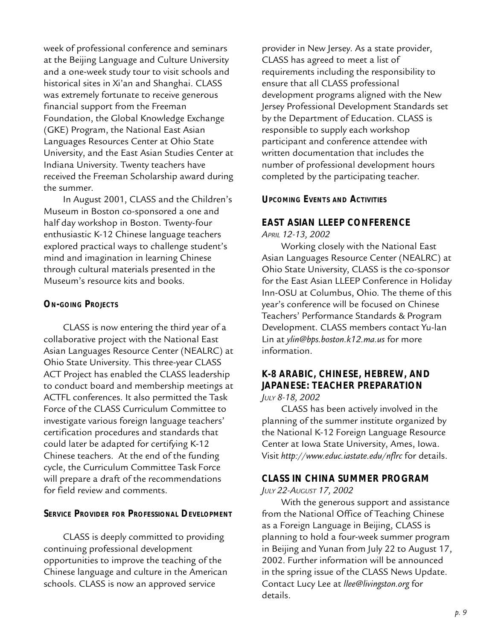week of professional conference and seminars at the Beijing Language and Culture University and a one-week study tour to visit schools and historical sites in Xi'an and Shanghai. CLASS was extremely fortunate to receive generous financial support from the Freeman Foundation, the Global Knowledge Exchange (GKE) Program, the National East Asian Languages Resources Center at Ohio State University, and the East Asian Studies Center at Indiana University. Twenty teachers have received the Freeman Scholarship award during the summer.

In August 2001, CLASS and the Children's Museum in Boston co-sponsored a one and half day workshop in Boston. Twenty-four enthusiastic K-12 Chinese language teachers explored practical ways to challenge student's mind and imagination in learning Chinese through cultural materials presented in the Museum's resource kits and books.

#### **ON-GOING PROJECTS**

CLASS is now entering the third year of a collaborative project with the National East Asian Languages Resource Center (NEALRC) at Ohio State University. This three-year CLASS ACT Project has enabled the CLASS leadership to conduct board and membership meetings at ACTFL conferences. It also permitted the Task Force of the CLASS Curriculum Committee to investigate various foreign language teachers' certification procedures and standards that could later be adapted for certifying K-12 Chinese teachers. At the end of the funding cycle, the Curriculum Committee Task Force will prepare a draft of the recommendations for field review and comments.

### **SERVICE PROVIDER FOR PROFESSIONAL DEVELOPMENT**

CLASS is deeply committed to providing continuing professional development opportunities to improve the teaching of the Chinese language and culture in the American schools. CLASS is now an approved service

provider in New Jersey. As a state provider, CLASS has agreed to meet a list of requirements including the responsibility to ensure that all CLASS professional development programs aligned with the New Jersey Professional Development Standards set by the Department of Education. CLASS is responsible to supply each workshop participant and conference attendee with written documentation that includes the number of professional development hours completed by the participating teacher.

#### **UPCOMING EVENTS AND ACTIVITIES**

# **EAST ASIAN LLEEP CONFERENCE**

*APRIL 12-13, 2002*

Working closely with the National East Asian Languages Resource Center (NEALRC) at Ohio State University, CLASS is the co-sponsor for the East Asian LLEEP Conference in Holiday Inn-OSU at Columbus, Ohio. The theme of this year's conference will be focused on Chinese Teachers' Performance Standards & Program Development. CLASS members contact Yu-lan Lin at *ylin@bps.boston.k12.ma.us* for more information.

### **K-8 ARABIC, CHINESE, HEBREW, AND JAPANESE: TEACHER PREPARATION** *JULY 8-18, 2002*

CLASS has been actively involved in the planning of the summer institute organized by the National K-12 Foreign Language Resource Center at Iowa State University, Ames, Iowa. Visit *http://www.educ.iastate.edu/nflrc* for details.

# **CLASS IN CHINA SUMMER PROGRAM**

## *JULY 22-AUGUST 17, 2002*

With the generous support and assistance from the National Office of Teaching Chinese as a Foreign Language in Beijing, CLASS is planning to hold a four-week summer program in Beijing and Yunan from July 22 to August 17, 2002. Further information will be announced in the spring issue of the CLASS News Update. Contact Lucy Lee at *llee@livingston.org* for details.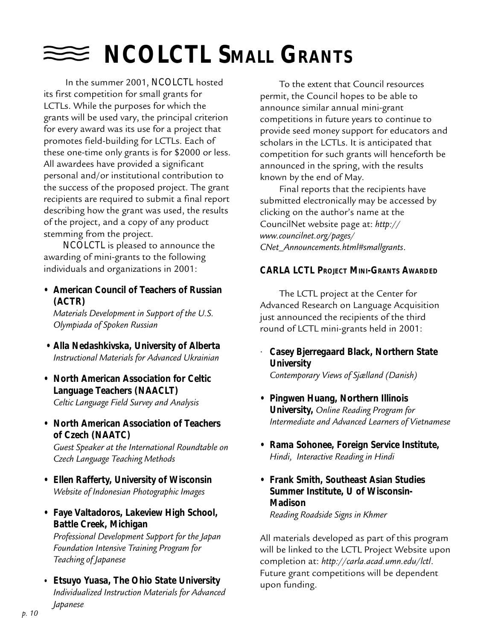# $\approx$  **NCOLCTL SMALL GRANTS**

In the summer 2001, NCOLCTL hosted its first competition for small grants for LCTLs. While the purposes for which the grants will be used vary, the principal criterion for every award was its use for a project that promotes field-building for LCTLs. Each of these one-time only grants is for \$2000 or less. All awardees have provided a significant personal and/or institutional contribution to the success of the proposed project. The grant recipients are required to submit a final report describing how the grant was used, the results of the project, and a copy of any product stemming from the project.

NCOLCTL is pleased to announce the awarding of mini-grants to the following individuals and organizations in 2001:

**• American Council of Teachers of Russian (ACTR)**

*Materials Development in Support of the U.S. Olympiada of Spoken Russian*

- **Alla Nedashkivska, University of Alberta** *Instructional Materials for Advanced Ukrainian*
- **North American Association for Celtic Language Teachers (NAACLT)** *Celtic Language Field Survey and Analysis*
- **North American Association of Teachers of Czech (NAATC)** *Guest Speaker at the International Roundtable on Czech Language Teaching Methods*
- **Ellen Rafferty, University of Wisconsin** *Website of Indonesian Photographic Images*
- **Faye Valtadoros, Lakeview High School, Battle Creek, Michigan** *Professional Development Support for the Japan Foundation Intensive Training Program for Teaching of Japanese*
- **• Etsuyo Yuasa, The Ohio State University** *Individualized Instruction Materials for Advanced Japanese*

To the extent that Council resources permit, the Council hopes to be able to announce similar annual mini-grant competitions in future years to continue to provide seed money support for educators and scholars in the LCTLs. It is anticipated that competition for such grants will henceforth be announced in the spring, with the results known by the end of May.

Final reports that the recipients have submitted electronically may be accessed by clicking on the author's name at the CouncilNet website page at: *http:// www.councilnet.org/pages/ CNet\_Announcements.html#smallgrants*.

# **CARLA LCTL PROJECT MINI-GRANTS AWARDED**

The LCTL project at the Center for Advanced Research on Language Acquisition just announced the recipients of the third round of LCTL mini-grants held in 2001:

- **Casey Bjerregaard Black, Northern State University** *Contemporary Views of Sjælland (Danish)*
- **Pingwen Huang, Northern Illinois University,** *Online Reading Program for Intermediate and Advanced Learners of Vietnamese*
- **Rama Sohonee, Foreign Service Institute,** *Hindi, Interactive Reading in Hindi*
- **Frank Smith, Southeast Asian Studies Summer Institute, U of Wisconsin-Madison** *Reading Roadside Signs in Khmer*

All materials developed as part of this program will be linked to the LCTL Project Website upon completion at: *http://carla.acad.umn.edu/lctl*. Future grant competitions will be dependent upon funding.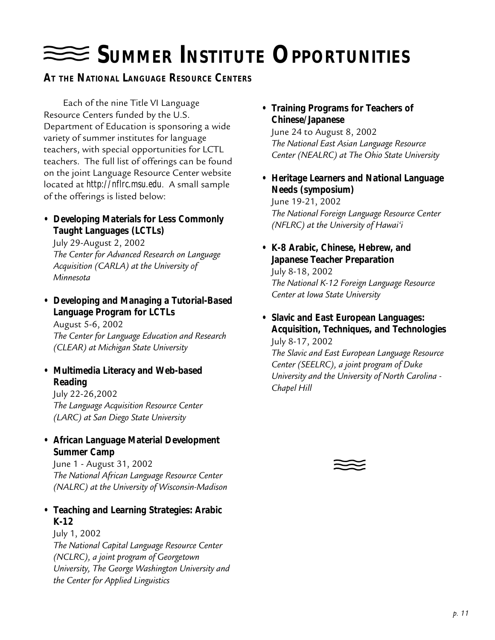# **SUMMER INSTITUTE OPPORTUNITIES**

# **AT THE NATIONAL LANGUAGE RESOURCE CENTERS**

Each of the nine Title VI Language Resource Centers funded by the U.S. Department of Education is sponsoring a wide variety of summer institutes for language teachers, with special opportunities for LCTL teachers. The full list of offerings can be found on the joint Language Resource Center website located at *http://nflrc.msu.edu*. A small sample of the offerings is listed below:

# **• Developing Materials for Less Commonly Taught Languages (LCTLs)**

July 29-August 2, 2002 *The Center for Advanced Research on Language Acquisition (CARLA) at the University of Minnesota*

**• Developing and Managing a Tutorial-Based Language Program for LCTLs** August 5-6, 2002 *The Center for Language Education and Research (CLEAR) at Michigan State University*

**• Multimedia Literacy and Web-based Reading**

July 22-26,2002 *The Language Acquisition Resource Center (LARC) at San Diego State University*

**• African Language Material Development Summer Camp**

June 1 - August 31, 2002 *The National African Language Resource Center (NALRC) at the University of Wisconsin-Madison*

# **• Teaching and Learning Strategies: Arabic K-12**

July 1, 2002 *The National Capital Language Resource Center (NCLRC), a joint program of Georgetown University, The George Washington University and the Center for Applied Linguistics*

**• Training Programs for Teachers of Chinese/Japanese**

June 24 to August 8, 2002 *The National East Asian Language Resource Center (NEALRC) at The Ohio State University*

**• Heritage Learners and National Language Needs (symposium)** June 19-21, 2002

*The National Foreign Language Resource Center (NFLRC) at the University of Hawai'i*

- **K-8 Arabic, Chinese, Hebrew, and Japanese Teacher Preparation** July 8-18, 2002 *The National K-12 Foreign Language Resource Center at Iowa State University*
- **Slavic and East European Languages: Acquisition, Techniques, and Technologies** July 8-17, 2002 *The Slavic and East European Language Resource*

*Center (SEELRC), a joint program of Duke University and the University of North Carolina - Chapel Hill*

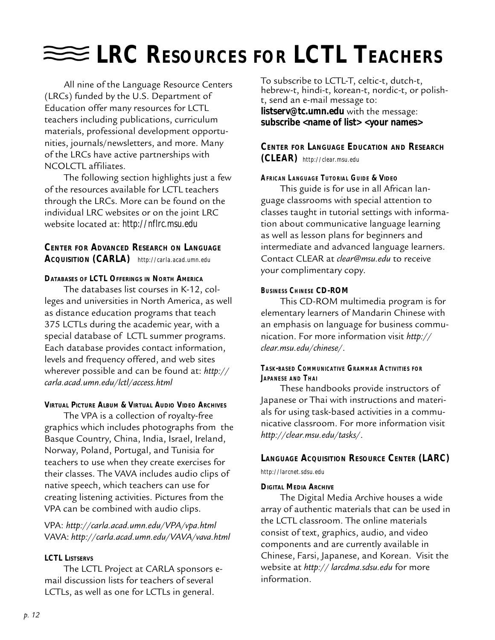# **EXAGGES** LRC RESOURCES FOR LCTL TEACHERS

All nine of the Language Resource Centers (LRCs) funded by the U.S. Department of Education offer many resources for LCTL teachers including publications, curriculum materials, professional development opportunities, journals/newsletters, and more. Many of the LRCs have active partnerships with NCOLCTL affiliates.

The following section highlights just a few of the resources available for LCTL teachers through the LRCs. More can be found on the individual LRC websites or on the joint LRC website located at: *http://nflrc.msu.edu*

# **CENTER FOR ADVANCED RESEARCH ON LANGUAGE ACQUISITION (CARLA)** *http://carla.acad.umn.edu*

**DATABASES OF LCTL OFFERINGS IN NORTH AMERICA**

The databases list courses in K-12, colleges and universities in North America, as well as distance education programs that teach 375 LCTLs during the academic year, with a special database of LCTL summer programs. Each database provides contact information, levels and frequency offered, and web sites wherever possible and can be found at: *http:// carla.acad.umn.edu/lctl/access.html*

#### **VIRTUAL PICTURE ALBUM & VIRTUAL AUDIO VIDEO ARCHIVES**

The VPA is a collection of royalty-free graphics which includes photographs from the Basque Country, China, India, Israel, Ireland, Norway, Poland, Portugal, and Tunisia for teachers to use when they create exercises for their classes. The VAVA includes audio clips of native speech, which teachers can use for creating listening activities. Pictures from the VPA can be combined with audio clips.

VPA: *http://carla.acad.umn.edu/VPA/vpa.html* VAVA: *http://carla.acad.umn.edu/VAVA/vava.html*

#### **LCTL LISTSERVS**

The LCTL Project at CARLA sponsors email discussion lists for teachers of several LCTLs, as well as one for LCTLs in general.

To subscribe to LCTL-T, celtic-t, dutch-t, hebrew-t, hindi-t, korean-t, nordic-t, or polisht, send an e-mail message to: **listserv@tc.umn.edu** with the message: **subscribe <name of list> <your names>**

## **CENTER FOR LANGUAGE EDUCATION AND RESEARCH (CLEAR)** *http://clear.msu.edu*

#### *AFRICAN LANGUAGE TUTORIAL GUIDE* **& VIDEO**

This guide is for use in all African language classrooms with special attention to classes taught in tutorial settings with information about communicative language learning as well as lesson plans for beginners and intermediate and advanced language learners. Contact CLEAR at *clear@msu.edu* to receive your complimentary copy.

#### *BUSINESS CHINESE* **CD-ROM**

This CD-ROM multimedia program is for elementary learners of Mandarin Chinese with an emphasis on language for business communication. For more information visit *http:// clear.msu.edu/chinese/*.

#### *TASK-BASED COMMUNICATIVE GRAMMAR ACTIVITIES FOR JAPANESE AND THAI*

These handbooks provide instructors of Japanese or Thai with instructions and materials for using task-based activities in a communicative classroom. For more information visit *http://clear.msu.edu/tasks/*.

# **LANGUAGE ACQUISITION RESOURCE CENTER (LARC)** *http://larcnet.sdsu.edu*

#### **DIGITAL MEDIA ARCHIVE**

The Digital Media Archive houses a wide array of authentic materials that can be used in the LCTL classroom. The online materials consist of text, graphics, audio, and video components and are currently available in Chinese, Farsi, Japanese, and Korean. Visit the website at *http:// larcdma.sdsu.edu* for more information.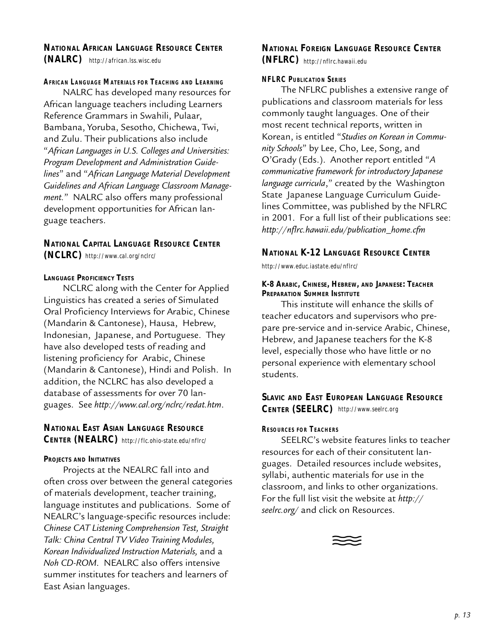#### **NATIONAL AFRICAN LANGUAGE RESOURCE CENTER (NALRC) (NFLRC)** *http://african.lss.wisc.edu http://nflrc.hawaii.edu*

#### *AFRICAN LANGUAGE MATERIALS FOR TEACHING AND LEARNING*

NALRC has developed many resources for African language teachers including Learners Reference Grammars in Swahili, Pulaar, Bambana, Yoruba, Sesotho, Chichewa, Twi, and Zulu. Their publications also include "*African Languages in U.S. Colleges and Universities: Program Development and Administration Guidelines*" and "*African Language Material Development Guidelines and African Language Classroom Management.*" NALRC also offers many professional development opportunities for African language teachers.

## **NATIONAL CAPITAL LANGUAGE RESOURCE CENTER (NCLRC)** *http://www.cal.org/nclrc/*

#### **LANGUAGE PROFICIENCY TESTS**

NCLRC along with the Center for Applied Linguistics has created a series of Simulated Oral Proficiency Interviews for Arabic, Chinese (Mandarin & Cantonese), Hausa, Hebrew, Indonesian, Japanese, and Portuguese. They have also developed tests of reading and listening proficiency for Arabic, Chinese (Mandarin & Cantonese), Hindi and Polish. In addition, the NCLRC has also developed a database of assessments for over 70 languages. See *http://www.cal.org/nclrc/redat.htm*.

# **NATIONAL EAST ASIAN LANGUAGE RESOURCE CENTER (NEALRC)** *http://flc.ohio-state.edu/nflrc/*

#### **PROJECTS AND INITIATIVES**

Projects at the NEALRC fall into and often cross over between the general categories of materials development, teacher training, language institutes and publications. Some of NEALRC's language-specific resources include: *Chinese CAT Listening Comprehension Test, Straight Talk: China Central TV Video Training Modules, Korean Individualized Instruction Materials,* and a *Noh CD-ROM*. NEALRC also offers intensive summer institutes for teachers and learners of East Asian languages.

# **NATIONAL FOREIGN LANGUAGE RESOURCE CENTER**

#### *NFLRC PUBLICATION SERIES*

The NFLRC publishes a extensive range of publications and classroom materials for less commonly taught languages. One of their most recent technical reports, written in Korean, is entitled "*Studies on Korean in Community Schools*" by Lee, Cho, Lee, Song, and O'Grady (Eds.). Another report entitled "*A communicative framework for introductory Japanese language curricula*," created by the Washington State Japanese Language Curriculum Guidelines Committee, was published by the NFLRC in 2001. For a full list of their publications see: *http://nflrc.hawaii.edu/publication\_home.cfm*

#### **NATIONAL K-12 LANGUAGE RESOURCE CENTER**

*http://www.educ.iastate.edu/nflrc/*

#### **K-8 ARABIC, CHINESE, HEBREW, AND JAPANESE: TEACHER PREPARATION SUMMER INSTITUTE**

This institute will enhance the skills of teacher educators and supervisors who prepare pre-service and in-service Arabic, Chinese, Hebrew, and Japanese teachers for the K-8 level, especially those who have little or no personal experience with elementary school students.

# **SLAVIC AND EAST EUROPEAN LANGUAGE RESOURCE CENTER (SEELRC)** *http://www.seelrc.org*

#### *RESOURCES FOR TEACHERS*

SEELRC's website features links to teacher resources for each of their consitutent languages. Detailed resources include websites, syllabi, authentic materials for use in the classroom, and links to other organizations. For the full list visit the website at *http:// seelrc.org/* and click on Resources.

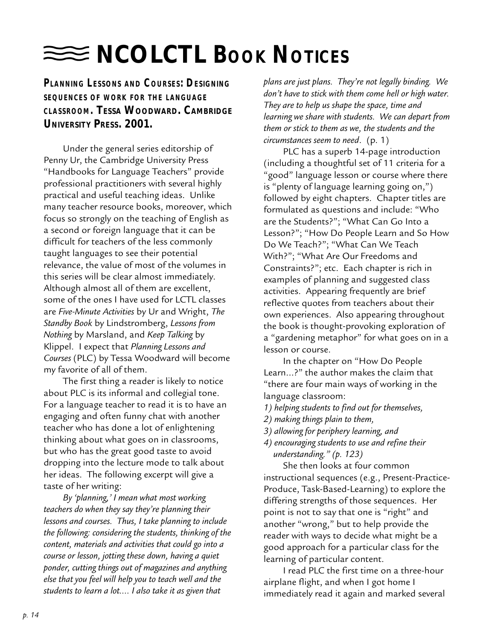# **NCOLCTL** BOOK NOTICES

*PLANNING LESSONS AND COURSES: DESIGNING SEQUENCES OF WORK FOR THE LANGUAGE CLASSROOM.* **TESSA WOODWARD. CAMBRIDGE UNIVERSITY PRESS. 2001.**

Under the general series editorship of Penny Ur, the Cambridge University Press "Handbooks for Language Teachers" provide professional practitioners with several highly practical and useful teaching ideas. Unlike many teacher resource books, moreover, which focus so strongly on the teaching of English as a second or foreign language that it can be difficult for teachers of the less commonly taught languages to see their potential relevance, the value of most of the volumes in this series will be clear almost immediately. Although almost all of them are excellent, some of the ones I have used for LCTL classes are *Five-Minute Activities* by Ur and Wright, *The Standby Book* by Lindstromberg, *Lessons from Nothing* by Marsland, and *Keep Talking* by Klippel. I expect that *Planning Lessons and Courses* (PLC) by Tessa Woodward will become my favorite of all of them.

The first thing a reader is likely to notice about PLC is its informal and collegial tone. For a language teacher to read it is to have an engaging and often funny chat with another teacher who has done a lot of enlightening thinking about what goes on in classrooms, but who has the great good taste to avoid dropping into the lecture mode to talk about her ideas. The following excerpt will give a taste of her writing:

*By 'planning,' I mean what most working teachers do when they say they're planning their lessons and courses. Thus, I take planning to include the following: considering the students, thinking of the content, materials and activities that could go into a course or lesson, jotting these down, having a quiet ponder, cutting things out of magazines and anything else that you feel will help you to teach well and the students to learn a lot…. I also take it as given that*

*plans are just plans. They're not legally binding. We don't have to stick with them come hell or high water. They are to help us shape the space, time and learning we share with students. We can depart from them or stick to them as we, the students and the circumstances seem to need*. (p. 1)

PLC has a superb 14-page introduction (including a thoughtful set of 11 criteria for a "good" language lesson or course where there is "plenty of language learning going on,") followed by eight chapters. Chapter titles are formulated as questions and include: "Who are the Students?"; "What Can Go Into a Lesson?"; "How Do People Learn and So How Do We Teach?"; "What Can We Teach With?"; "What Are Our Freedoms and Constraints?"; etc. Each chapter is rich in examples of planning and suggested class activities. Appearing frequently are brief reflective quotes from teachers about their own experiences. Also appearing throughout the book is thought-provoking exploration of a "gardening metaphor" for what goes on in a lesson or course.

In the chapter on "How Do People Learn…?" the author makes the claim that "there are four main ways of working in the language classroom:

- *1) helping students to find out for themselves,*
- *2) making things plain to them,*
- *3) allowing for periphery learning, and*
- *4) encouraging students to use and refine their understanding." (p. 123)*

She then looks at four common instructional sequences (e.g., Present-Practice-Produce, Task-Based-Learning) to explore the differing strengths of those sequences. Her point is not to say that one is "right" and another "wrong," but to help provide the reader with ways to decide what might be a good approach for a particular class for the learning of particular content.

I read PLC the first time on a three-hour airplane flight, and when I got home I immediately read it again and marked several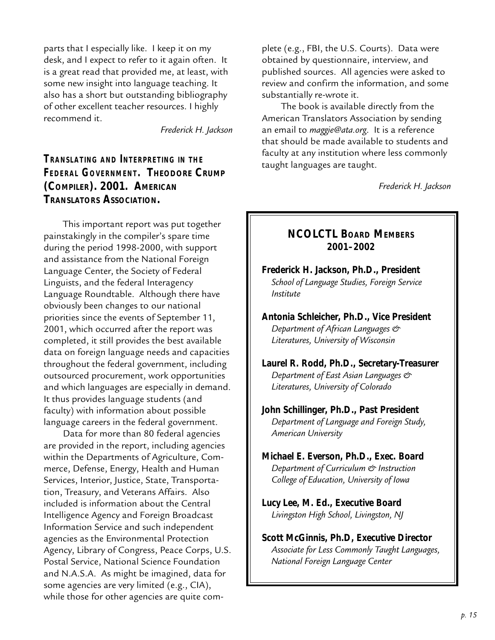parts that I especially like. I keep it on my desk, and I expect to refer to it again often. It is a great read that provided me, at least, with some new insight into language teaching. It also has a short but outstanding bibliography of other excellent teacher resources. I highly recommend it.

*Frederick H. Jackson*

*TRANSLATING AND INTERPRETING IN THE FEDERAL GOVERNMENT.* **THEODORE CRUMP (COMPILER). 2001. AMERICAN TRANSLATORS ASSOCIATION.**

This important report was put together painstakingly in the compiler's spare time during the period 1998-2000, with support and assistance from the National Foreign Language Center, the Society of Federal Linguists, and the federal Interagency Language Roundtable. Although there have obviously been changes to our national priorities since the events of September 11, 2001, which occurred after the report was completed, it still provides the best available data on foreign language needs and capacities throughout the federal government, including outsourced procurement, work opportunities and which languages are especially in demand. It thus provides language students (and faculty) with information about possible language careers in the federal government.

Data for more than 80 federal agencies are provided in the report, including agencies within the Departments of Agriculture, Commerce, Defense, Energy, Health and Human Services, Interior, Justice, State, Transportation, Treasury, and Veterans Affairs. Also included is information about the Central Intelligence Agency and Foreign Broadcast Information Service and such independent agencies as the Environmental Protection Agency, Library of Congress, Peace Corps, U.S. Postal Service, National Science Foundation and N.A.S.A. As might be imagined, data for some agencies are very limited (e.g., CIA), while those for other agencies are quite complete (e.g., FBI, the U.S. Courts). Data were obtained by questionnaire, interview, and published sources. All agencies were asked to review and confirm the information, and some substantially re-wrote it.

The book is available directly from the American Translators Association by sending an email to *maggie@ata.org*. It is a reference that should be made available to students and faculty at any institution where less commonly taught languages are taught.

*Frederick H. Jackson*

# **NCOLCTL BOARD MEMBERS 2001–2002 Frederick H. Jackson, Ph.D., President** *School of Language Studies, Foreign Service Institute* **Antonia Schleicher, Ph.D., Vice President** *Department of African Languages & Literatures, University of Wisconsin* **Laurel R. Rodd, Ph.D., Secretary-Treasurer** *Department of East Asian Languages & Literatures, University of Colorado* **John Schillinger, Ph.D., Past President** *Department of Language and Foreign Study, American University* **Michael E. Everson, Ph.D., Exec. Board** *Department of Curriculum & Instruction College of Education, University of Iowa*

**Lucy Lee, M. Ed., Executive Board** *Livingston High School, Livingston, NJ*

**Scott McGinnis, Ph.D, Executive Director** *Associate for Less Commonly Taught Languages, National Foreign Language Center*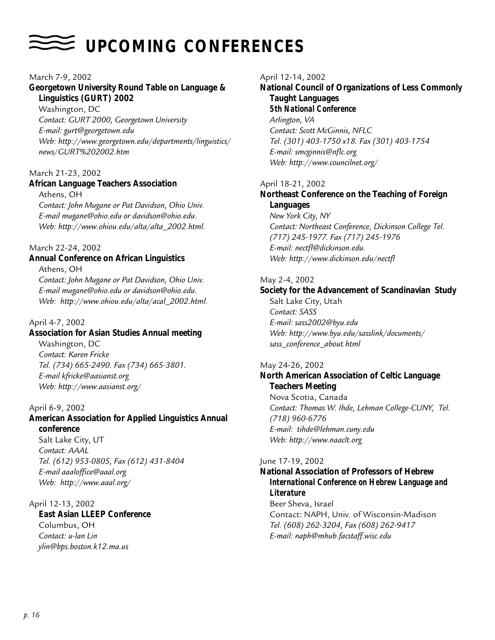# **UPCOMING CONFERENCES**

#### March 7-9, 2002

#### **Georgetown University Round Table on Language & Linguistics (GURT) 2002**

Washington, DC *Contact: GURT 2000, Georgetown University E-mail: gurt@georgetown.edu Web: http://www.georgetown.edu/departments/linguistics/ news/GURT%202002.htm*

#### March 21-23, 2002

#### **African Language Teachers Association** Athens, OH

*Contact: John Mugane or Pat Davidson, Ohio Univ. E-mail mugane@ohio.edu or davidson@ohio.edu. Web: http://www.ohiou.edu/alta/alta\_2002.html.*

#### March 22-24, 2002

#### **Annual Conference on African Linguistics** Athens, OH

*Contact: John Mugane or Pat Davidson, Ohio Univ. E-mail mugane@ohio.edu or davidson@ohio.edu. Web: http://www.ohiou.edu/alta/acal\_2002.html.*

## April 4-7, 2002

### **Association for Asian Studies Annual meeting**

Washington, DC *Contact: Karen Fricke Tel. (734) 665-2490. Fax (734) 665-3801. E-mail kfricke@aasianst.org Web: http://www.aasianst.org/*

### April 6-9, 2002

# **American Association for Applied Linguistics Annual conference**

Salt Lake City, UT *Contact: AAAL Tel. (612) 953-0805, Fax (612) 431-8404 E-mail aaaloffice@aaal.org Web: http://www.aaal.org/*

# April 12-13, 2002

**East Asian LLEEP Conference** Columbus, OH *Contact: u-lan Lin ylin@bps.boston.k12.ma.us*

April 12-14, 2002

#### **National Council of Organizations of Less Commonly Taught Languages** *5th National Conference Arlington, VA*

*Contact: Scott McGinnis, NFLC Tel. (301) 403-1750 x18. Fax (301) 403-1754 E-mail: smcginnis@nflc.org Web: http://www.councilnet.org/*

### April 18-21, 2002

### **Northeast Conference on the Teaching of Foreign Languages** *New York City, NY*

*Contact: Northeast Conference, Dickinson College Tel. (717) 245-1977. Fax (717) 245-1976 E-mail: nectfl@dickinson.edu. Web: http://www.dickinson.edu/nectfl*

### May 2-4, 2002

# **Society for the Advancement of Scandinavian Study**

Salt Lake City, Utah *Contact: SASS E-mail: sass2002@byu.edu Web: http://www.byu.edu/sasslink/documents/ sass\_conference\_about.html*

#### May 24-26, 2002

# **North American Association of Celtic Language Teachers Meeting** Nova Scotia, Canada

*Contact: Thomas W. Ihde, Lehman College-CUNY, Tel. (718) 960-6776 E-mail: tihde@lehman.cuny.edu Web: http://www.naaclt.org*

#### June 17-19, 2002

#### **National Association of Professors of Hebrew** *International Conference on Hebrew Language and Literature* Beer Sheva, Israel Contact: NAPH, Univ. of Wisconsin-Madison

*Tel. (608) 262-3204, Fax (608) 262-9417 E-mail: naph@mhub.facstaff.wisc.edu*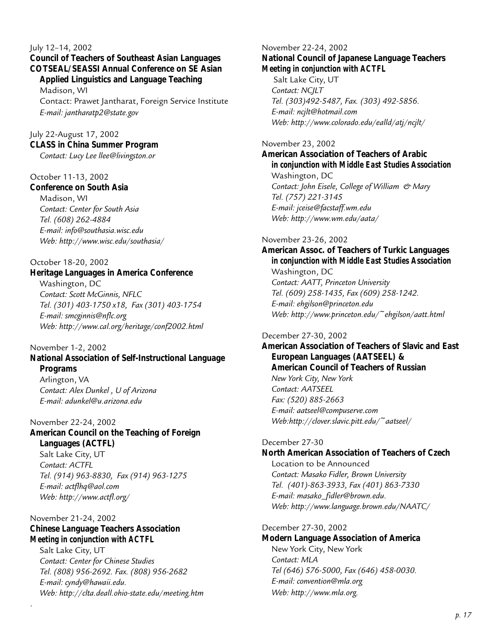July 12–14, 2002

**Council of Teachers of Southeast Asian Languages COTSEAL/SEASSI Annual Conference on SE Asian Applied Linguistics and Language Teaching** Madison, WI

Contact: Prawet Jantharat, Foreign Service Institute *E-mail: jantharatp2@state.gov*

July 22-August 17, 2002 **CLASS in China Summer Program** *Contact: Lucy Lee llee@livingston.or*

#### October 11-13, 2002

**Conference on South Asia**

Madison, WI *Contact: Center for South Asia Tel. (608) 262-4884 E-mail: info@southasia.wisc.edu Web: http://www.wisc.edu/southasia/*

#### October 18-20, 2002

#### **Heritage Languages in America Conference**

Washington, DC *Contact: Scott McGinnis, NFLC Tel. (301) 403-1750 x18, Fax (301) 403-1754 E-mail: smcginnis@nflc.org Web: http://www.cal.org/heritage/conf2002.html*

#### November 1-2, 2002

.

**National Association of Self-Instructional Language Programs** Arlington, VA *Contact: Alex Dunkel , U of Arizona E-mail: adunkel@u.arizona.edu*

November 22-24, 2002 **American Council on the Teaching of Foreign Languages (ACTFL)**

Salt Lake City, UT *Contact: ACTFL Tel. (914) 963-8830, Fax (914) 963-1275 E-mail: actflhq@aol.com Web: http://www.actfl.org/*

November 21-24, 2002 **Chinese Language Teachers Association** *Meeting in conjunction with ACTFL*

Salt Lake City, UT *Contact: Center for Chinese Studies Tel. (808) 956-2692. Fax. (808) 956-2682 E-mail: cyndy@hawaii.edu. Web: http://clta.deall.ohio-state.edu/meeting.htm* November 22-24, 2002 **National Council of Japanese Language Teachers** *Meeting in conjunction with ACTFL*

Salt Lake City, UT *Contact: NCJLT Tel. (303)492-5487, Fax. (303) 492-5856. E-mail: ncjlt@hotmail.com Web: http://www.colorado.edu/ealld/atj/ncjlt/*

#### November 23, 2002

**American Association of Teachers of Arabic** *in conjunction with Middle East Studies Association* Washington, DC *Contact: John Eisele, College of William & Mary Tel. (757) 221-3145 E-mail: jceise@facstaff.wm.edu Web: http://www.wm.edu/aata/*

#### November 23-26, 2002

**American Assoc. of Teachers of Turkic Languages** *in conjunction with Middle East Studies Association* Washington, DC *Contact: AATT, Princeton University Tel. (609) 258-1435, Fax (609) 258-1242. E-mail: ehgilson@princeton.edu Web: http://www.princeton.edu/~ehgilson/aatt.html*

#### December 27-30, 2002

**American Association of Teachers of Slavic and East European Languages (AATSEEL) & American Council of Teachers of Russian** *New York City, New York Contact: AATSEEL Fax: (520) 885-2663 E-mail: aatseel@compuserve.com Web:http://clover.slavic.pitt.edu/~aatseel/*

#### December 27-30 **North American Association of Teachers of Czech** Location to be Announced *Contact: Masako Fidler, Brown University Tel. (401)-863-3933, Fax (401) 863-7330 E-mail: masako\_fidler@brown.edu. Web: http://www.language.brown.edu/NAATC/*

#### December 27-30, 2002

**Modern Language Association of America** New York City, New York *Contact: MLA Tel (646) 576-5000, Fax (646) 458-0030. E-mail: convention@mla.org Web: http://www.mla.org.*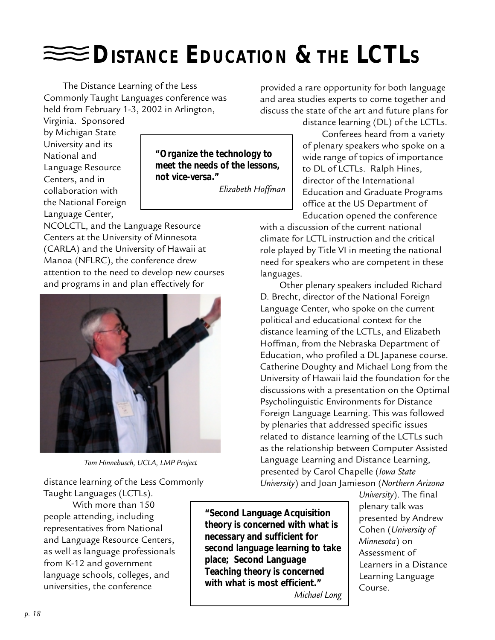# **EXAMPLE EDUCATION & THE LCTLS**

The Distance Learning of the Less Commonly Taught Languages conference was held from February 1-3, 2002 in Arlington,

provided a rare opportunity for both language and area studies experts to come together and discuss the state of the art and future plans for

Virginia. Sponsored by Michigan State University and its National and Language Resource Centers, and in collaboration with the National Foreign Language Center,

**"Organize the technology to meet the needs of the lessons, not vice-versa."**

*Elizabeth Hoffman*

NCOLCTL, and the Language Resource Centers at the University of Minnesota (CARLA) and the University of Hawaii at Manoa (NFLRC), the conference drew attention to the need to develop new courses and programs in and plan effectively for



*Tom Hinnebusch, UCLA, LMP Project*

distance learning of the Less Commonly Taught Languages (LCTLs).

With more than 150 people attending, including representatives from National and Language Resource Centers, as well as language professionals from K-12 and government language schools, colleges, and universities, the conference

**"Second Language Acquisition theory is concerned with what is necessary and sufficient for second language learning to take place; Second Language Teaching theory is concerned with what is most efficient."** *Michael Long*

distance learning (DL) of the LCTLs. Conferees heard from a variety of plenary speakers who spoke on a wide range of topics of importance to DL of LCTLs. Ralph Hines, director of the International Education and Graduate Programs office at the US Department of Education opened the conference

with a discussion of the current national climate for LCTL instruction and the critical role played by Title VI in meeting the national need for speakers who are competent in these languages.

Other plenary speakers included Richard D. Brecht, director of the National Foreign Language Center, who spoke on the current political and educational context for the distance learning of the LCTLs, and Elizabeth Hoffman, from the Nebraska Department of Education, who profiled a DL Japanese course. Catherine Doughty and Michael Long from the University of Hawaii laid the foundation for the discussions with a presentation on the Optimal Psycholinguistic Environments for Distance Foreign Language Learning. This was followed by plenaries that addressed specific issues related to distance learning of the LCTLs such as the relationship between Computer Assisted Language Learning and Distance Learning, presented by Carol Chapelle (*Iowa State University*) and Joan Jamieson (*Northern Arizona*

> *University*). The final plenary talk was presented by Andrew Cohen (*University of Minnesota*) on Assessment of Learners in a Distance Learning Language Course.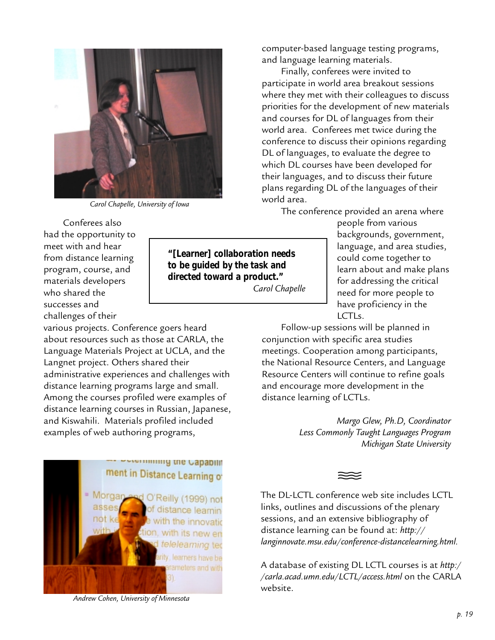

*Carol Chapelle, University of Iowa*

computer-based language testing programs, and language learning materials.

Finally, conferees were invited to participate in world area breakout sessions where they met with their colleagues to discuss priorities for the development of new materials and courses for DL of languages from their world area. Conferees met twice during the conference to discuss their opinions regarding DL of languages, to evaluate the degree to which DL courses have been developed for their languages, and to discuss their future plans regarding DL of the languages of their world area.

The conference provided an arena where

people from various backgrounds, government, language, and area studies, could come together to learn about and make plans for addressing the critical need for more people to have proficiency in the LCTLs.

Follow-up sessions will be planned in conjunction with specific area studies meetings. Cooperation among participants, the National Resource Centers, and Language Resource Centers will continue to refine goals and encourage more development in the distance learning of LCTLs.

> *Margo Glew, Ph.D, Coordinator Less Commonly Taught Languages Program Michigan State University*

The DL-LCTL conference web site includes LCTL links, outlines and discussions of the plenary sessions, and an extensive bibliography of distance learning can be found at: *http:// langinnovate.msu.edu/conference-distancelearning.html.*

A database of existing DL LCTL courses is at *http:/ /carla.acad.umn.edu/LCTL/access.html* on the CARLA website.

Conferees also had the opportunity to meet with and hear from distance learning program, course, and materials developers who shared the successes and challenges of their

various projects. Conference goers heard about resources such as those at CARLA, the Language Materials Project at UCLA, and the Langnet project. Others shared their administrative experiences and challenges with distance learning programs large and small. Among the courses profiled were examples of distance learning courses in Russian, Japanese, and Kiswahili. Materials profiled included examples of web authoring programs,



*Andrew Cohen, University of Minnesota*

**"[Learner] collaboration needs to be guided by the task and directed toward a product."** *Carol Chapelle*